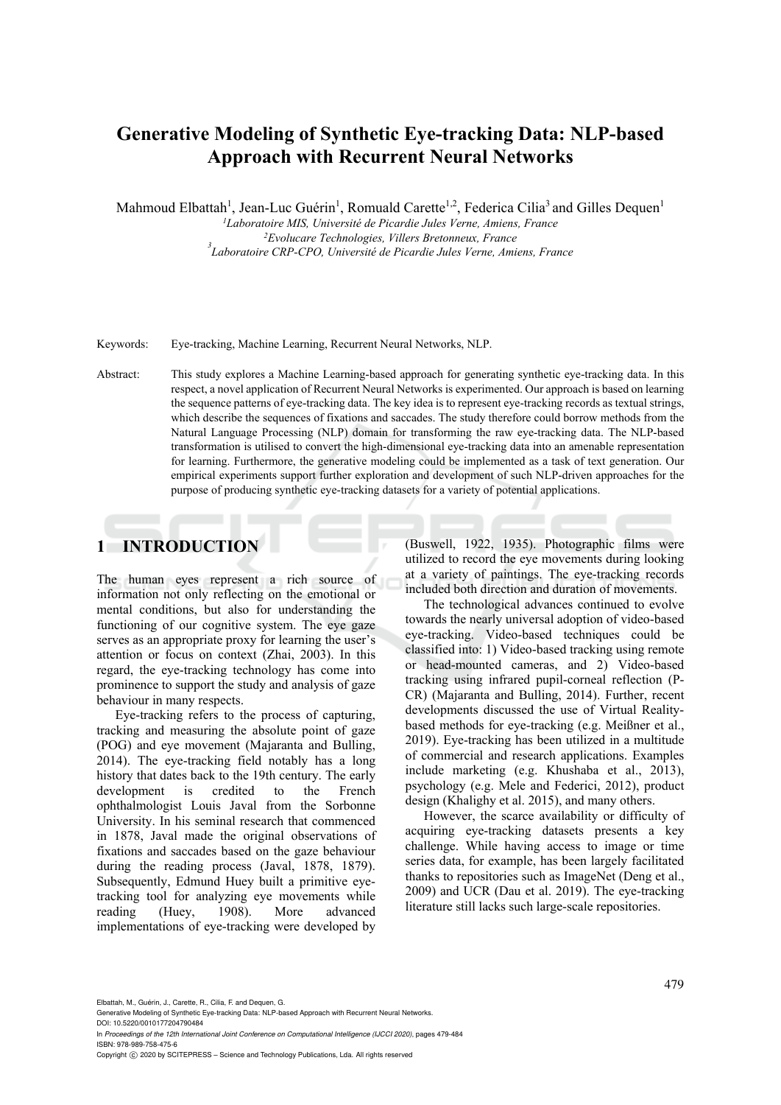# **Generative Modeling of Synthetic Eye-tracking Data: NLP-based Approach with Recurrent Neural Networks**

Mahmoud Elbattah<sup>1</sup>, Jean-Luc Guérin<sup>1</sup>, Romuald Carette<sup>1,2</sup>, Federica Cilia<sup>3</sup> and Gilles Dequen<sup>1</sup>

<sup>1</sup>Laboratoire MIS, Université de Picardie Jules Verne, Amiens, France<br><sup>2</sup>Evolucare Technologies, Villers Bretonneux, France *Laboratoire CRP-CPO, Université de Picardie Jules Verne, Amiens, France* 

Keywords: Eye-tracking, Machine Learning, Recurrent Neural Networks, NLP.

Abstract: This study explores a Machine Learning-based approach for generating synthetic eye-tracking data. In this respect, a novel application of Recurrent Neural Networks is experimented. Our approach is based on learning the sequence patterns of eye-tracking data. The key idea is to represent eye-tracking records as textual strings, which describe the sequences of fixations and saccades. The study therefore could borrow methods from the Natural Language Processing (NLP) domain for transforming the raw eye-tracking data. The NLP-based transformation is utilised to convert the high-dimensional eye-tracking data into an amenable representation for learning. Furthermore, the generative modeling could be implemented as a task of text generation. Our empirical experiments support further exploration and development of such NLP-driven approaches for the purpose of producing synthetic eye-tracking datasets for a variety of potential applications.

# **1 INTRODUCTION**

The human eyes represent a rich source of information not only reflecting on the emotional or mental conditions, but also for understanding the functioning of our cognitive system. The eye gaze serves as an appropriate proxy for learning the user's attention or focus on context (Zhai, 2003). In this regard, the eye-tracking technology has come into prominence to support the study and analysis of gaze behaviour in many respects.

Eye-tracking refers to the process of capturing, tracking and measuring the absolute point of gaze (POG) and eye movement (Majaranta and Bulling, 2014). The eye-tracking field notably has a long history that dates back to the 19th century. The early development is credited to the French ophthalmologist Louis Javal from the Sorbonne University. In his seminal research that commenced in 1878, Javal made the original observations of fixations and saccades based on the gaze behaviour during the reading process (Javal, 1878, 1879). Subsequently, Edmund Huey built a primitive eyetracking tool for analyzing eye movements while reading (Huey, 1908). More advanced implementations of eye-tracking were developed by

(Buswell, 1922, 1935). Photographic films were utilized to record the eye movements during looking at a variety of paintings. The eye-tracking records included both direction and duration of movements.

The technological advances continued to evolve towards the nearly universal adoption of video-based eye-tracking. Video-based techniques could be classified into: 1) Video-based tracking using remote or head-mounted cameras, and 2) Video-based tracking using infrared pupil-corneal reflection (P-CR) (Majaranta and Bulling, 2014). Further, recent developments discussed the use of Virtual Realitybased methods for eye-tracking (e.g. Meißner et al., 2019). Eye-tracking has been utilized in a multitude of commercial and research applications. Examples include marketing (e.g. Khushaba et al., 2013), psychology (e.g. Mele and Federici, 2012), product design (Khalighy et al. 2015), and many others.

However, the scarce availability or difficulty of acquiring eye-tracking datasets presents a key challenge. While having access to image or time series data, for example, has been largely facilitated thanks to repositories such as ImageNet (Deng et al., 2009) and UCR (Dau et al. 2019). The eye-tracking literature still lacks such large-scale repositories.

Elbattah, M., Guérin, J., Carette, R., Cilia, F. and Dequen, G.

Generative Modeling of Synthetic Eye-tracking Data: NLP-based Approach with Recurrent Neural Networks. DOI: 10.5220/0010177204790484

In *Proceedings of the 12th International Joint Conference on Computational Intelligence (IJCCI 2020)*, pages 479-484 ISBN: 978-989-758-475-6

Copyright © 2020 by SCITEPRESS - Science and Technology Publications, Lda. All rights reserved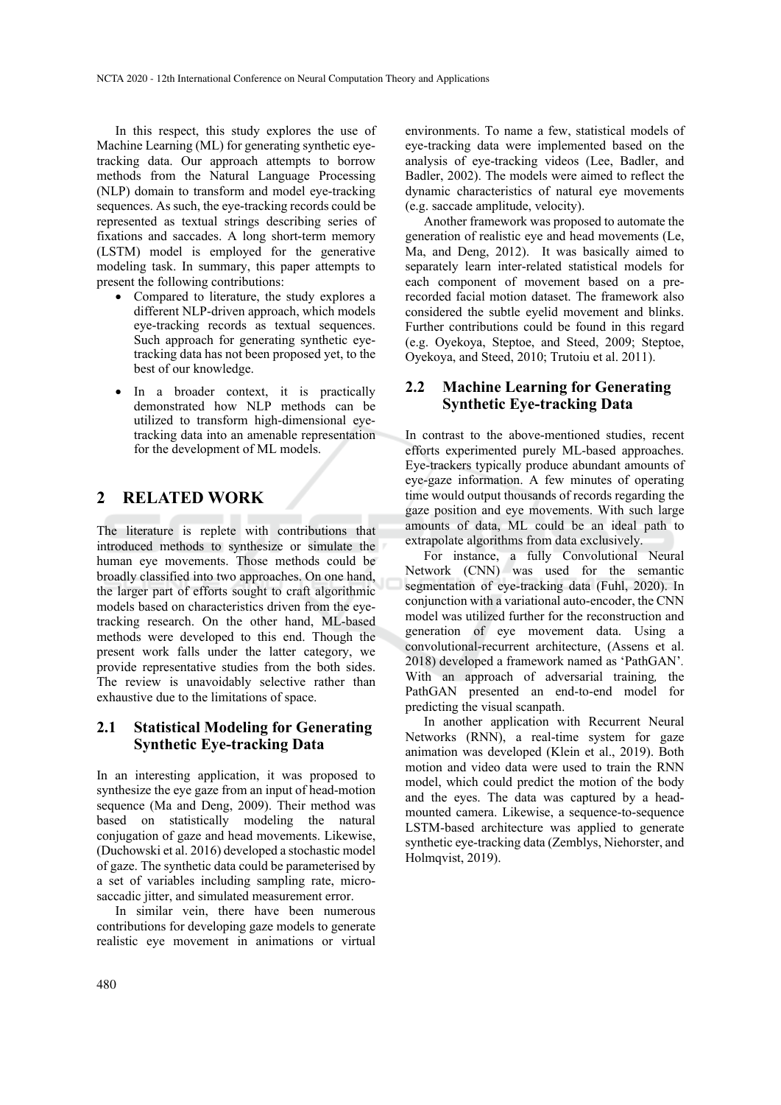In this respect, this study explores the use of Machine Learning (ML) for generating synthetic eyetracking data. Our approach attempts to borrow methods from the Natural Language Processing (NLP) domain to transform and model eye-tracking sequences. As such, the eye-tracking records could be represented as textual strings describing series of fixations and saccades. A long short-term memory (LSTM) model is employed for the generative modeling task. In summary, this paper attempts to present the following contributions:

- Compared to literature, the study explores a different NLP-driven approach, which models eye-tracking records as textual sequences. Such approach for generating synthetic eyetracking data has not been proposed yet, to the best of our knowledge.
- In a broader context, it is practically demonstrated how NLP methods can be utilized to transform high-dimensional eyetracking data into an amenable representation for the development of ML models.

# **2 RELATED WORK**

The literature is replete with contributions that introduced methods to synthesize or simulate the human eye movements. Those methods could be broadly classified into two approaches. On one hand, the larger part of efforts sought to craft algorithmic models based on characteristics driven from the eyetracking research. On the other hand, ML-based methods were developed to this end. Though the present work falls under the latter category, we provide representative studies from the both sides. The review is unavoidably selective rather than exhaustive due to the limitations of space.

## **2.1 Statistical Modeling for Generating Synthetic Eye-tracking Data**

In an interesting application, it was proposed to synthesize the eye gaze from an input of head-motion sequence (Ma and Deng, 2009). Their method was based on statistically modeling the natural conjugation of gaze and head movements. Likewise, (Duchowski et al. 2016) developed a stochastic model of gaze. The synthetic data could be parameterised by a set of variables including sampling rate, microsaccadic jitter, and simulated measurement error.

In similar vein, there have been numerous contributions for developing gaze models to generate realistic eye movement in animations or virtual

environments. To name a few, statistical models of eye-tracking data were implemented based on the analysis of eye-tracking videos (Lee, Badler, and Badler, 2002). The models were aimed to reflect the dynamic characteristics of natural eye movements (e.g. saccade amplitude, velocity).

Another framework was proposed to automate the generation of realistic eye and head movements (Le, Ma, and Deng, 2012). It was basically aimed to separately learn inter-related statistical models for each component of movement based on a prerecorded facial motion dataset. The framework also considered the subtle eyelid movement and blinks. Further contributions could be found in this regard (e.g. Oyekoya, Steptoe, and Steed, 2009; Steptoe, Oyekoya, and Steed, 2010; Trutoiu et al. 2011).

## **2.2 Machine Learning for Generating Synthetic Eye-tracking Data**

In contrast to the above-mentioned studies, recent efforts experimented purely ML-based approaches. Eye-trackers typically produce abundant amounts of eye-gaze information. A few minutes of operating time would output thousands of records regarding the gaze position and eye movements. With such large amounts of data, ML could be an ideal path to extrapolate algorithms from data exclusively.

For instance, a fully Convolutional Neural Network (CNN) was used for the semantic segmentation of eye-tracking data (Fuhl, 2020). In conjunction with a variational auto-encoder, the CNN model was utilized further for the reconstruction and generation of eye movement data. Using a convolutional-recurrent architecture, (Assens et al. 2018) developed a framework named as 'PathGAN'*.*  With an approach of adversarial training*,* the PathGAN presented an end-to-end model for predicting the visual scanpath.

In another application with Recurrent Neural Networks (RNN), a real-time system for gaze animation was developed (Klein et al., 2019). Both motion and video data were used to train the RNN model, which could predict the motion of the body and the eyes. The data was captured by a headmounted camera. Likewise, a sequence-to-sequence LSTM-based architecture was applied to generate synthetic eye-tracking data (Zemblys, Niehorster, and Holmqvist, 2019).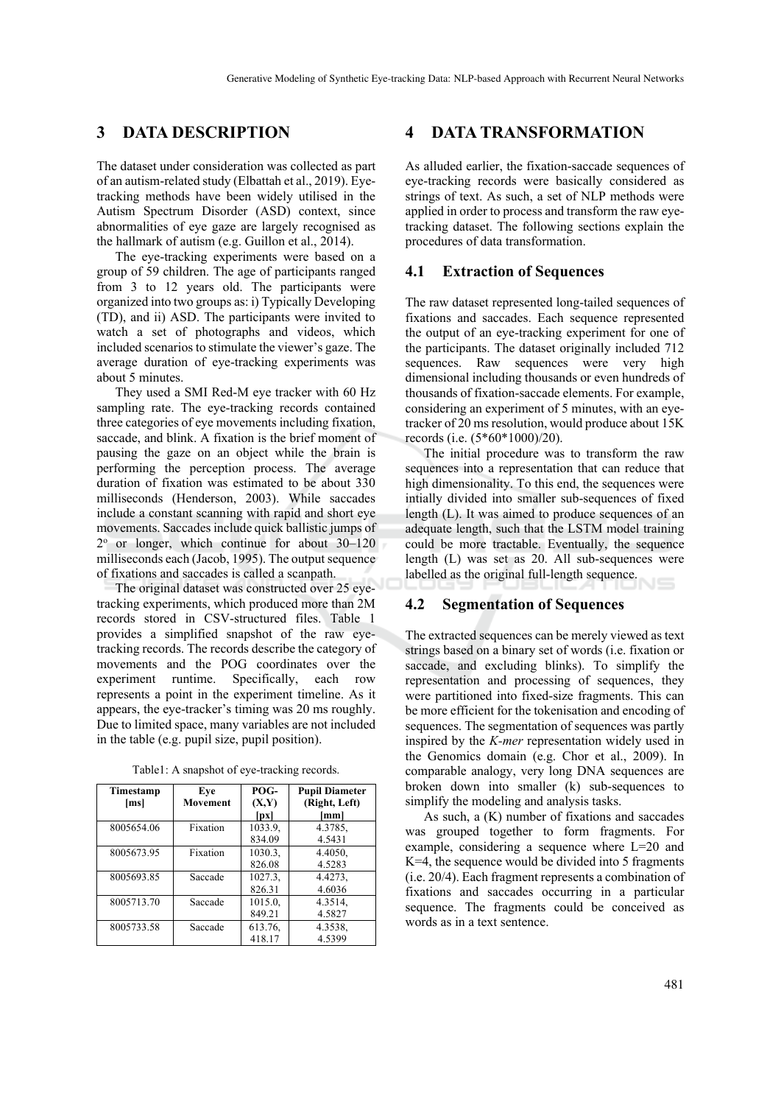## **3 DATA DESCRIPTION**

The dataset under consideration was collected as part of an autism-related study (Elbattah et al., 2019). Eyetracking methods have been widely utilised in the Autism Spectrum Disorder (ASD) context, since abnormalities of eye gaze are largely recognised as the hallmark of autism (e.g. Guillon et al., 2014).

The eye-tracking experiments were based on a group of 59 children. The age of participants ranged from 3 to 12 years old. The participants were organized into two groups as: i) Typically Developing (TD), and ii) ASD. The participants were invited to watch a set of photographs and videos, which included scenarios to stimulate the viewer's gaze. The average duration of eye-tracking experiments was about 5 minutes.

They used a SMI Red-M eye tracker with 60 Hz sampling rate. The eye-tracking records contained three categories of eye movements including fixation, saccade, and blink. A fixation is the brief moment of pausing the gaze on an object while the brain is performing the perception process. The average duration of fixation was estimated to be about 330 milliseconds (Henderson, 2003). While saccades include a constant scanning with rapid and short eye movements. Saccades include quick ballistic jumps of 2o or longer, which continue for about 30–120 milliseconds each (Jacob, 1995). The output sequence of fixations and saccades is called a scanpath.

The original dataset was constructed over 25 eyetracking experiments, which produced more than 2M records stored in CSV-structured files. Table 1 provides a simplified snapshot of the raw eyetracking records. The records describe the category of movements and the POG coordinates over the experiment runtime. Specifically, each row represents a point in the experiment timeline. As it appears, the eye-tracker's timing was 20 ms roughly. Due to limited space, many variables are not included in the table (e.g. pupil size, pupil position).

| Timestamp  | Eve             | POG-    | <b>Pupil Diameter</b> |
|------------|-----------------|---------|-----------------------|
| [ms]       | <b>Movement</b> | (X,Y)   | (Right, Left)         |
|            |                 | [px]    | [mm]                  |
| 8005654.06 | Fixation        | 1033.9, | 4.3785,               |
|            |                 | 834.09  | 4.5431                |
| 8005673.95 | Fixation        | 1030.3, | 4.4050,               |
|            |                 | 826.08  | 4.5283                |
| 8005693.85 | Saccade         | 1027.3, | 4.4273,               |
|            |                 | 826.31  | 4.6036                |
| 8005713.70 | Saccade         | 1015.0, | 4.3514.               |
|            |                 | 849.21  | 4.5827                |
| 8005733.58 | Saccade         | 613.76, | 4.3538,               |
|            |                 | 418.17  | 4.5399                |

Table1: A snapshot of eye-tracking records.

## **4 DATA TRANSFORMATION**

As alluded earlier, the fixation-saccade sequences of eye-tracking records were basically considered as strings of text. As such, a set of NLP methods were applied in order to process and transform the raw eyetracking dataset. The following sections explain the procedures of data transformation.

#### **4.1 Extraction of Sequences**

The raw dataset represented long-tailed sequences of fixations and saccades. Each sequence represented the output of an eye-tracking experiment for one of the participants. The dataset originally included 712 sequences. Raw sequences were very high dimensional including thousands or even hundreds of thousands of fixation-saccade elements. For example, considering an experiment of 5 minutes, with an eyetracker of 20 ms resolution, would produce about 15K records (i.e. (5\*60\*1000)/20).

The initial procedure was to transform the raw sequences into a representation that can reduce that high dimensionality. To this end, the sequences were intially divided into smaller sub-sequences of fixed length (L). It was aimed to produce sequences of an adequate length, such that the LSTM model training could be more tractable. Eventually, the sequence length (L) was set as 20. All sub-sequences were labelled as the original full-length sequence.

#### **4.2 Segmentation of Sequences**

The extracted sequences can be merely viewed as text strings based on a binary set of words (i.e. fixation or saccade, and excluding blinks). To simplify the representation and processing of sequences, they were partitioned into fixed-size fragments. This can be more efficient for the tokenisation and encoding of sequences. The segmentation of sequences was partly inspired by the *K-mer* representation widely used in the Genomics domain (e.g. Chor et al., 2009). In comparable analogy, very long DNA sequences are broken down into smaller (k) sub-sequences to simplify the modeling and analysis tasks.

As such, a (K) number of fixations and saccades was grouped together to form fragments. For example, considering a sequence where L=20 and  $K=4$ , the sequence would be divided into 5 fragments (i.e. 20/4). Each fragment represents a combination of fixations and saccades occurring in a particular sequence. The fragments could be conceived as words as in a text sentence.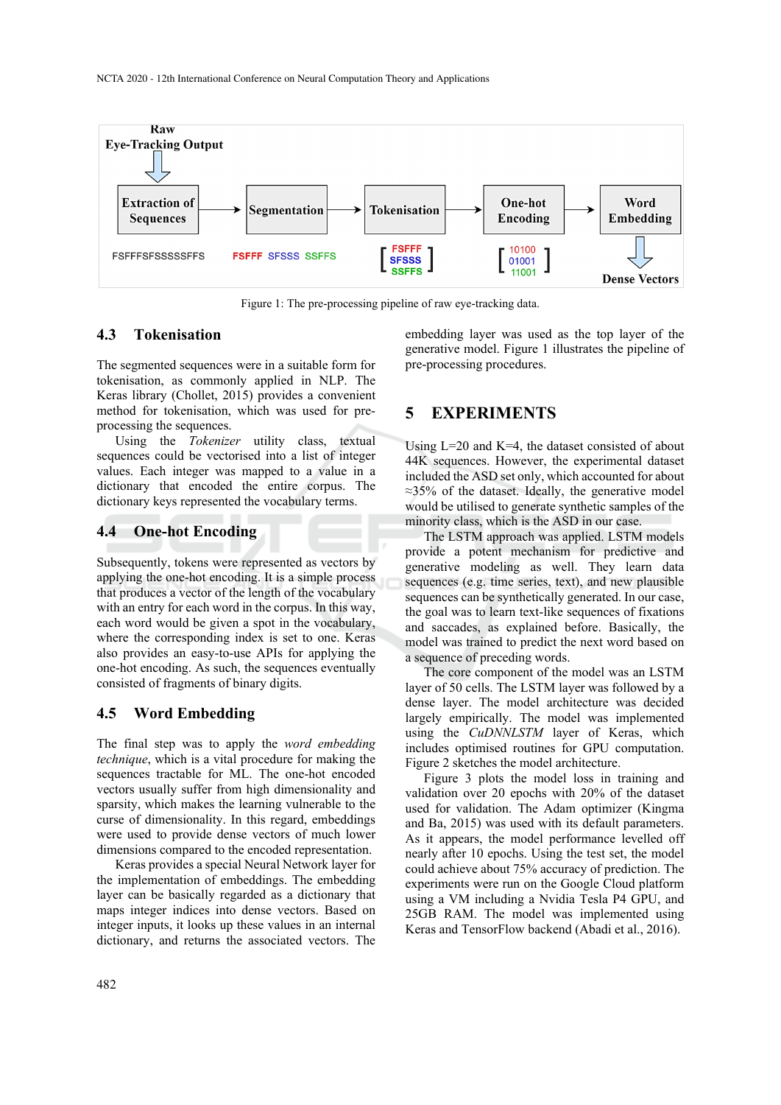

Figure 1: The pre-processing pipeline of raw eye-tracking data.

### **4.3 Tokenisation**

The segmented sequences were in a suitable form for tokenisation, as commonly applied in NLP. The Keras library (Chollet, 2015) provides a convenient method for tokenisation, which was used for preprocessing the sequences.

Using the *Tokenizer* utility class, textual sequences could be vectorised into a list of integer values. Each integer was mapped to a value in a dictionary that encoded the entire corpus. The dictionary keys represented the vocabulary terms.

#### **4.4 One-hot Encoding**

Subsequently, tokens were represented as vectors by applying the one-hot encoding. It is a simple process that produces a vector of the length of the vocabulary with an entry for each word in the corpus. In this way, each word would be given a spot in the vocabulary, where the corresponding index is set to one. Keras also provides an easy-to-use APIs for applying the one-hot encoding. As such, the sequences eventually consisted of fragments of binary digits.

## **4.5 Word Embedding**

The final step was to apply the *word embedding technique*, which is a vital procedure for making the sequences tractable for ML. The one-hot encoded vectors usually suffer from high dimensionality and sparsity, which makes the learning vulnerable to the curse of dimensionality. In this regard, embeddings were used to provide dense vectors of much lower dimensions compared to the encoded representation.

Keras provides a special Neural Network layer for the implementation of embeddings. The embedding layer can be basically regarded as a dictionary that maps integer indices into dense vectors. Based on integer inputs, it looks up these values in an internal dictionary, and returns the associated vectors. The embedding layer was used as the top layer of the generative model. Figure 1 illustrates the pipeline of pre-processing procedures.

## **5 EXPERIMENTS**

Using  $L=20$  and  $K=4$ , the dataset consisted of about 44K sequences. However, the experimental dataset included the ASD set only, which accounted for about ≈35% of the dataset. Ideally, the generative model would be utilised to generate synthetic samples of the minority class, which is the ASD in our case.

The LSTM approach was applied. LSTM models provide a potent mechanism for predictive and generative modeling as well. They learn data sequences (e.g. time series, text), and new plausible sequences can be synthetically generated. In our case, the goal was to learn text-like sequences of fixations and saccades, as explained before. Basically, the model was trained to predict the next word based on a sequence of preceding words.

The core component of the model was an LSTM layer of 50 cells. The LSTM layer was followed by a dense layer. The model architecture was decided largely empirically. The model was implemented using the *CuDNNLSTM* layer of Keras, which includes optimised routines for GPU computation. Figure 2 sketches the model architecture.

Figure 3 plots the model loss in training and validation over 20 epochs with 20% of the dataset used for validation. The Adam optimizer (Kingma and Ba, 2015) was used with its default parameters. As it appears, the model performance levelled off nearly after 10 epochs. Using the test set, the model could achieve about 75% accuracy of prediction. The experiments were run on the Google Cloud platform using a VM including a Nvidia Tesla P4 GPU, and 25GB RAM. The model was implemented using Keras and TensorFlow backend (Abadi et al., 2016).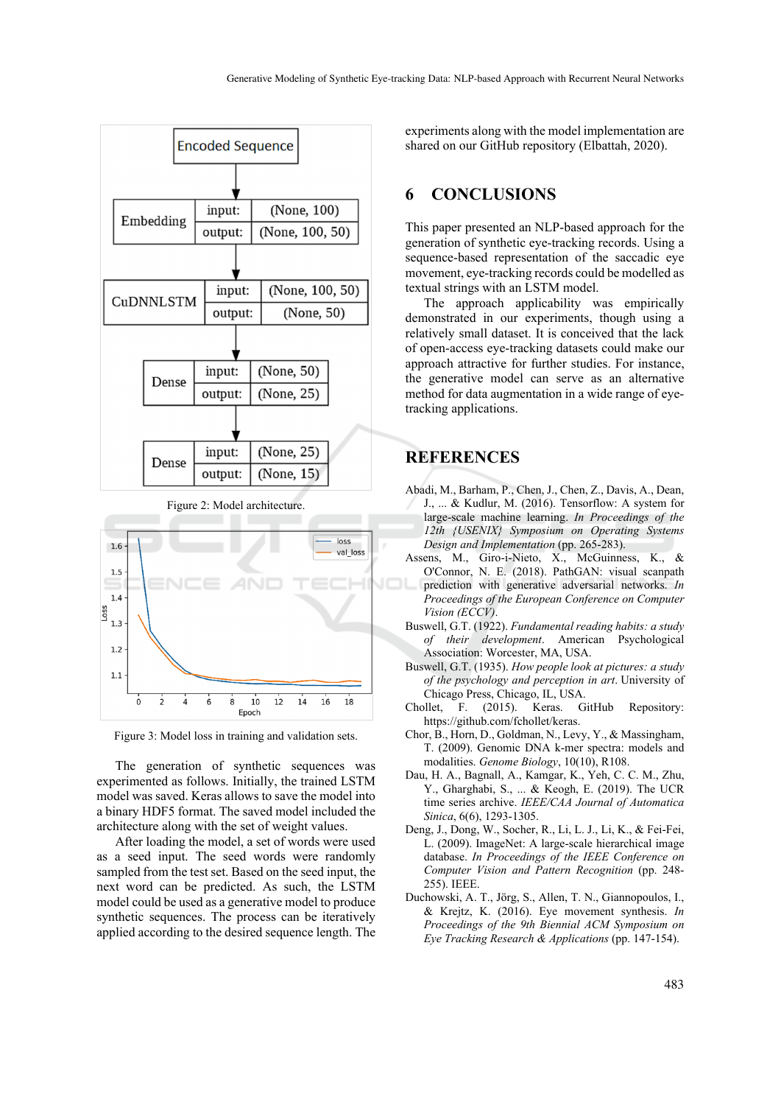



Figure 3: Model loss in training and validation sets.

The generation of synthetic sequences was experimented as follows. Initially, the trained LSTM model was saved. Keras allows to save the model into a binary HDF5 format. The saved model included the architecture along with the set of weight values.

After loading the model, a set of words were used as a seed input. The seed words were randomly sampled from the test set. Based on the seed input, the next word can be predicted. As such, the LSTM model could be used as a generative model to produce synthetic sequences. The process can be iteratively applied according to the desired sequence length. The

experiments along with the model implementation are shared on our GitHub repository (Elbattah, 2020).

## **6 CONCLUSIONS**

This paper presented an NLP-based approach for the generation of synthetic eye-tracking records. Using a sequence-based representation of the saccadic eye movement, eye-tracking records could be modelled as textual strings with an LSTM model.

The approach applicability was empirically demonstrated in our experiments, though using a relatively small dataset. It is conceived that the lack of open-access eye-tracking datasets could make our approach attractive for further studies. For instance, the generative model can serve as an alternative method for data augmentation in a wide range of eyetracking applications.

## **REFERENCES**

- Abadi, M., Barham, P., Chen, J., Chen, Z., Davis, A., Dean, J., ... & Kudlur, M. (2016). Tensorflow: A system for large-scale machine learning. *In Proceedings of the 12th {USENIX} Symposium on Operating Systems Design and Implementation* (pp. 265-283).
- Assens, M., Giro-i-Nieto, X., McGuinness, K., & O'Connor, N. E. (2018). PathGAN: visual scanpath prediction with generative adversarial networks. *In Proceedings of the European Conference on Computer Vision (ECCV)*.
- Buswell, G.T. (1922). *Fundamental reading habits: a study of their development*. American Psychological Association: Worcester, MA, USA.
- Buswell, G.T. (1935). *How people look at pictures: a study of the psychology and perception in art*. University of Chicago Press, Chicago, IL, USA.
- Chollet, F. (2015). Keras. GitHub Repository: https://github.com/fchollet/keras.
- Chor, B., Horn, D., Goldman, N., Levy, Y., & Massingham, T. (2009). Genomic DNA k-mer spectra: models and modalities. *Genome Biology*, 10(10), R108.
- Dau, H. A., Bagnall, A., Kamgar, K., Yeh, C. C. M., Zhu, Y., Gharghabi, S., ... & Keogh, E. (2019). The UCR time series archive. *IEEE/CAA Journal of Automatica Sinica*, 6(6), 1293-1305.
- Deng, J., Dong, W., Socher, R., Li, L. J., Li, K., & Fei-Fei, L. (2009). ImageNet: A large-scale hierarchical image database. *In Proceedings of the IEEE Conference on Computer Vision and Pattern Recognition* (pp. 248- 255). IEEE.
- Duchowski, A. T., Jörg, S., Allen, T. N., Giannopoulos, I., & Krejtz, K. (2016). Eye movement synthesis. *In Proceedings of the 9th Biennial ACM Symposium on Eye Tracking Research & Applications* (pp. 147-154).